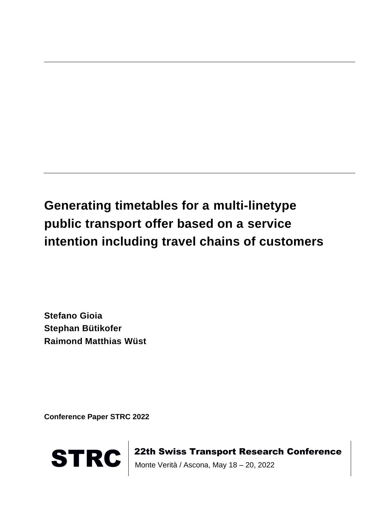# **Generating timetables for a multi-linetype public transport offer based on a service intention including travel chains of customers**

**Stefano Gioia Stephan Bütikofer Raimond Matthias Wüst**

**Conference Paper STRC 2022**



STRC | 22th Swiss Transport Research Conference<br>Monte Verità / Ascona, May 18 – 20, 2022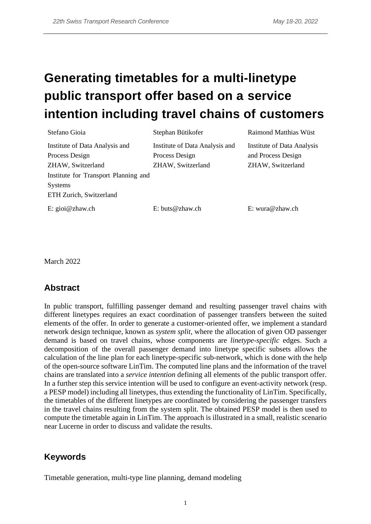# **Generating timetables for a multi-linetype public transport offer based on a service intention including travel chains of customers**

| Stefano Gioia                                                                     | Stephan Bütikofer                                                     | <b>Raimond Matthias Wüst</b>                                          |
|-----------------------------------------------------------------------------------|-----------------------------------------------------------------------|-----------------------------------------------------------------------|
| Institute of Data Analysis and<br>Process Design<br>ZHAW, Switzerland             | Institute of Data Analysis and<br>Process Design<br>ZHAW, Switzerland | Institute of Data Analysis<br>and Process Design<br>ZHAW, Switzerland |
| Institute for Transport Planning and<br><b>Systems</b><br>ETH Zurich, Switzerland |                                                                       |                                                                       |
| E: $\text{gioi}\,\omega$ zhaw.ch                                                  | $E: \text{buts} @ \text{zhaw.ch}$                                     | E: wura@zhaw.ch                                                       |

March 2022

## **Abstract**

In public transport, fulfilling passenger demand and resulting passenger travel chains with different linetypes requires an exact coordination of passenger transfers between the suited elements of the offer. In order to generate a customer-oriented offer, we implement a standard network design technique, known as *system split*, where the allocation of given OD passenger demand is based on travel chains, whose components are *linetype-specific* edges. Such a decomposition of the overall passenger demand into linetype specific subsets allows the calculation of the line plan for each linetype-specific sub-network, which is done with the help of the open-source software LinTim. The computed line plans and the information of the travel chains are translated into a *service intention* defining all elements of the public transport offer. In a further step this service intention will be used to configure an event-activity network (resp. a PESP model) including all linetypes, thus extending the functionality of LinTim. Specifically, the timetables of the different linetypes are coordinated by considering the passenger transfers in the travel chains resulting from the system split. The obtained PESP model is then used to compute the timetable again in LinTim. The approach is illustrated in a small, realistic scenario near Lucerne in order to discuss and validate the results.

## **Keywords**

Timetable generation, multi-type line planning, demand modeling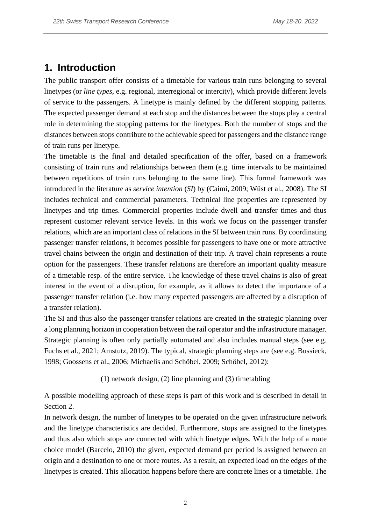## **1. Introduction**

The public transport offer consists of a timetable for various train runs belonging to several linetypes (or *line types*, e.g. regional, interregional or intercity), which provide different levels of service to the passengers. A linetype is mainly defined by the different stopping patterns. The expected passenger demand at each stop and the distances between the stops play a central role in determining the stopping patterns for the linetypes. Both the number of stops and the distances between stops contribute to the achievable speed for passengers and the distance range of train runs per linetype.

The timetable is the final and detailed specification of the offer, based on a framework consisting of train runs and relationships between them (e.g. time intervals to be maintained between repetitions of train runs belonging to the same line). This formal framework was introduced in the literature as *service intention* (*SI*) by (Caimi, 2009; Wüst et al., 2008). The SI includes technical and commercial parameters. Technical line properties are represented by linetypes and trip times. Commercial properties include dwell and transfer times and thus represent customer relevant service levels. In this work we focus on the passenger transfer relations, which are an important class of relations in the SI between train runs. By coordinating passenger transfer relations, it becomes possible for passengers to have one or more attractive travel chains between the origin and destination of their trip. A travel chain represents a route option for the passengers. These transfer relations are therefore an important quality measure of a timetable resp. of the entire service. The knowledge of these travel chains is also of great interest in the event of a disruption, for example, as it allows to detect the importance of a passenger transfer relation (i.e. how many expected passengers are affected by a disruption of a transfer relation).

The SI and thus also the passenger transfer relations are created in the strategic planning over a long planning horizon in cooperation between the rail operator and the infrastructure manager. Strategic planning is often only partially automated and also includes manual steps (see e.g. Fuchs et al., 2021; Amstutz, 2019). The typical, strategic planning steps are (see e.g. Bussieck, 1998; Goossens et al., 2006; Michaelis and Schöbel, 2009; Schöbel, 2012):

(1) network design, (2) line planning and (3) timetabling

A possible modelling approach of these steps is part of this work and is described in detail in Section 2.

In network design, the number of linetypes to be operated on the given infrastructure network and the linetype characteristics are decided. Furthermore, stops are assigned to the linetypes and thus also which stops are connected with which linetype edges. With the help of a route choice model (Barcelo, 2010) the given, expected demand per period is assigned between an origin and a destination to one or more routes. As a result, an expected load on the edges of the linetypes is created. This allocation happens before there are concrete lines or a timetable. The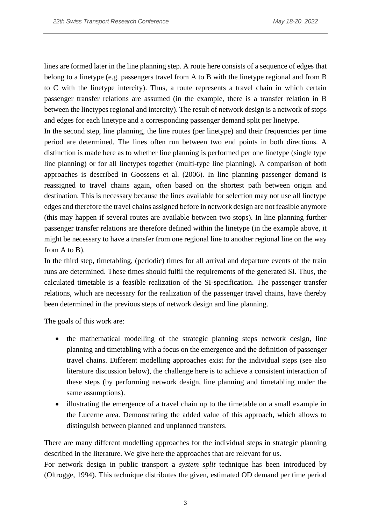lines are formed later in the line planning step. A route here consists of a sequence of edges that belong to a linetype (e.g. passengers travel from A to B with the linetype regional and from B to C with the linetype intercity). Thus, a route represents a travel chain in which certain passenger transfer relations are assumed (in the example, there is a transfer relation in B between the linetypes regional and intercity). The result of network design is a network of stops and edges for each linetype and a corresponding passenger demand split per linetype.

In the second step, line planning, the line routes (per linetype) and their frequencies per time period are determined. The lines often run between two end points in both directions. A distinction is made here as to whether line planning is performed per one linetype (single type line planning) or for all linetypes together (multi-type line planning). A comparison of both approaches is described in Goossens et al. (2006). In line planning passenger demand is reassigned to travel chains again, often based on the shortest path between origin and destination. This is necessary because the lines available for selection may not use all linetype edges and therefore the travel chains assigned before in network design are not feasible anymore (this may happen if several routes are available between two stops). In line planning further passenger transfer relations are therefore defined within the linetype (in the example above, it might be necessary to have a transfer from one regional line to another regional line on the way from A to B).

In the third step, timetabling, (periodic) times for all arrival and departure events of the train runs are determined. These times should fulfil the requirements of the generated SI. Thus, the calculated timetable is a feasible realization of the SI-specification. The passenger transfer relations, which are necessary for the realization of the passenger travel chains, have thereby been determined in the previous steps of network design and line planning.

The goals of this work are:

- the mathematical modelling of the strategic planning steps network design, line planning and timetabling with a focus on the emergence and the definition of passenger travel chains. Different modelling approaches exist for the individual steps (see also literature discussion below), the challenge here is to achieve a consistent interaction of these steps (by performing network design, line planning and timetabling under the same assumptions).
- illustrating the emergence of a travel chain up to the timetable on a small example in the Lucerne area. Demonstrating the added value of this approach, which allows to distinguish between planned and unplanned transfers.

There are many different modelling approaches for the individual steps in strategic planning described in the literature. We give here the approaches that are relevant for us.

For network design in public transport a *system split* technique has been introduced by (Oltrogge, 1994). This technique distributes the given, estimated OD demand per time period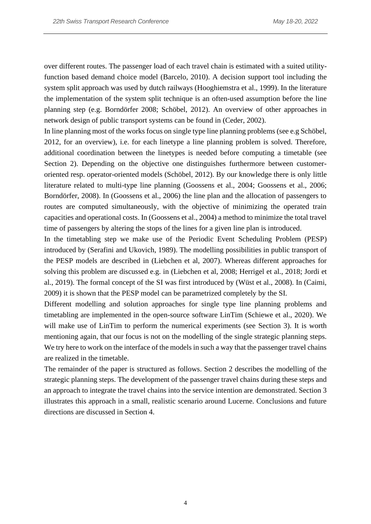over different routes. The passenger load of each travel chain is estimated with a suited utilityfunction based demand choice model (Barcelo, 2010). A decision support tool including the system split approach was used by dutch railways (Hooghiemstra et al., 1999). In the literature the implementation of the system split technique is an often-used assumption before the line planning step (e.g. Borndörfer 2008; Schöbel, 2012). An overview of other approaches in network design of public transport systems can be found in (Ceder, 2002).

In line planning most of the works focus on single type line planning problems (see e.g Schöbel, 2012, for an overview), i.e. for each linetype a line planning problem is solved. Therefore, additional coordination between the linetypes is needed before computing a timetable (see Section 2). Depending on the objective one distinguishes furthermore between customeroriented resp. operator-oriented models (Schöbel, 2012). By our knowledge there is only little literature related to multi-type line planning (Goossens et al., 2004; Goossens et al., 2006; Borndörfer, 2008). In (Goossens et al., 2006) the line plan and the allocation of passengers to routes are computed simultaneously, with the objective of minimizing the operated train capacities and operational costs. In (Goossens et al., 2004) a method to minimize the total travel time of passengers by altering the stops of the lines for a given line plan is introduced.

In the timetabling step we make use of the Periodic Event Scheduling Problem (PESP) introduced by (Serafini and Ukovich, 1989). The modelling possibilities in public transport of the PESP models are described in (Liebchen et al, 2007). Whereas different approaches for solving this problem are discussed e.g. in (Liebchen et al, 2008; Herrigel et al., 2018; Jordi et al., 2019). The formal concept of the SI was first introduced by (Wüst et al., 2008). In (Caimi, 2009) it is shown that the PESP model can be parametrized completely by the SI.

Different modelling and solution approaches for single type line planning problems and timetabling are implemented in the open-source software LinTim (Schiewe et al., 2020). We will make use of LinTim to perform the numerical experiments (see Section 3). It is worth mentioning again, that our focus is not on the modelling of the single strategic planning steps. We try here to work on the interface of the models in such a way that the passenger travel chains are realized in the timetable.

The remainder of the paper is structured as follows. Section 2 describes the modelling of the strategic planning steps. The development of the passenger travel chains during these steps and an approach to integrate the travel chains into the service intention are demonstrated. Section 3 illustrates this approach in a small, realistic scenario around Lucerne. Conclusions and future directions are discussed in Section 4.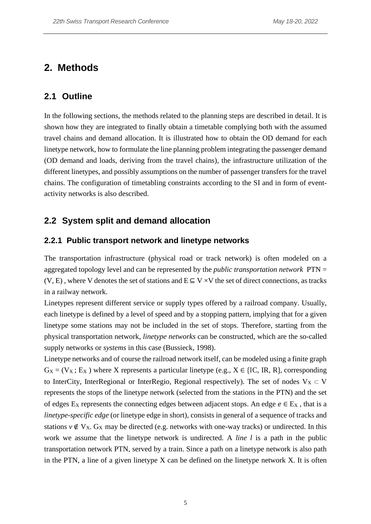## **2. Methods**

#### **2.1 Outline**

In the following sections, the methods related to the planning steps are described in detail. It is shown how they are integrated to finally obtain a timetable complying both with the assumed travel chains and demand allocation. It is illustrated how to obtain the OD demand for each linetype network, how to formulate the line planning problem integrating the passenger demand (OD demand and loads, deriving from the travel chains), the infrastructure utilization of the different linetypes, and possibly assumptions on the number of passenger transfers for the travel chains. The configuration of timetabling constraints according to the SI and in form of eventactivity networks is also described.

### **2.2 System split and demand allocation**

#### **2.2.1 Public transport network and linetype networks**

The transportation infrastructure (physical road or track network) is often modeled on a aggregated topology level and can be represented by the *public transportation network* PTN =  $(V, E)$ , where V denotes the set of stations and  $E \subseteq V \times V$  the set of direct connections, as tracks in a railway network.

Linetypes represent different service or supply types offered by a railroad company. Usually, each linetype is defined by a level of speed and by a stopping pattern, implying that for a given linetype some stations may not be included in the set of stops. Therefore, starting from the physical transportation network, *linetype networks* can be constructed, which are the so-called supply networks or *systems* in this case (Bussieck, 1998).

Linetype networks and of course the railroad network itself, can be modeled using a finite graph  $G_X = (V_X; E_X)$  where X represents a particular linetype (e.g.,  $X \in \{IC, IR, R\}$ , corresponding to InterCity, InterRegional or InterRegio, Regional respectively). The set of nodes  $V_X \subset V$ represents the stops of the linetype network (selected from the stations in the PTN) and the set of edges E<sub>X</sub> represents the connecting edges between adjacent stops. An edge  $e \in E_X$ , that is a *linetype-specific edge* (or linetype edge in short), consists in general of a sequence of tracks and stations  $v \notin V_X$ . G<sub>X</sub> may be directed (e.g. networks with one-way tracks) or undirected. In this work we assume that the linetype network is undirected. A *line l* is a path in the public transportation network PTN, served by a train. Since a path on a linetype network is also path in the PTN, a line of a given linetype  $X$  can be defined on the linetype network  $X$ . It is often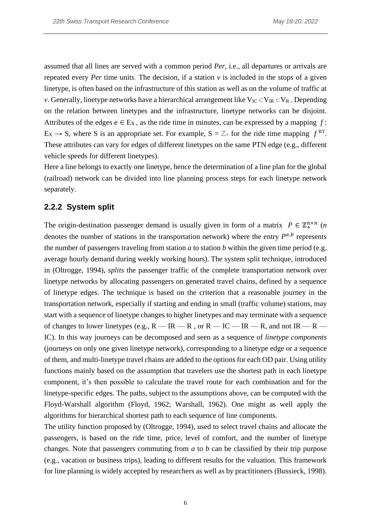assumed that all lines are served with a common period *Per*, i.e., all departures or arrivals are repeated every *Per* time units. The decision, if a station *v* is included in the stops of a given linetype, is often based on the infrastructure of this station as well as on the volume of traffic at *v*. Generally, linetype networks have a hierarchical arrangement like  $V_{IC} \subset V_{IR} \subset V_R$ . Depending on the relation between linetypes and the infrastructure, linetype networks can be disjoint. Attributes of the edges  $e \in E_X$ , as the ride time in minutes, can be expressed by a mapping  $f$ :  $E_X \rightarrow S$ , where S is an appropriate set. For example,  $S = \mathbb{Z}_+$  for the ride time mapping  $f^{RT}$ . These attributes can vary for edges of different linetypes on the same PTN edge (e.g., different vehicle speeds for different linetypes).

Here a line belongs to exactly one linetype, hence the determination of a line plan for the global (railroad) network can be divided into line planning process steps for each linetype network separately.

#### **2.2.2 System split**

The origin-destination passenger demand is usually given in form of a matrix  $P \in \mathbb{Z}_+^{n \times n}$  (*n* denotes the number of stations in the transportation network) where the entry  $P^{a,b}$  represents the number of passengers traveling from station *a* to station *b* within the given time period (e.g. average hourly demand during weekly working hours). The system split technique, introduced in (Oltrogge, 1994), *splits* the passenger traffic of the complete transportation network over linetype networks by allocating passengers on generated travel chains, defined by a sequence of linetype edges. The technique is based on the criterion that a reasonable journey in the transportation network, especially if starting and ending in small (traffic volume) stations, may start with a sequence of linetype changes to higher linetypes and may terminate with a sequence of changes to lower linetypes (e.g.,  $R$  — IR — R, or  $R$  — IC — IR — R, and not IR — R — IC). In this way journeys can be decomposed and seen as a sequence of *linetype components* (journeys on only one given linetype network), corresponding to a linetype edge or a sequence of them, and multi-linetype travel chains are added to the options for each OD pair. Using utility functions mainly based on the assumption that travelers use the shortest path in each linetype component, it's then possible to calculate the travel route for each combination and for the linetype-specific edges. The paths, subject to the assumptions above, can be computed with the Floyd-Warshall algorithm (Floyd, 1962; Warshall, 1962). One might as well apply the algorithms for hierarchical shortest path to each sequence of line components.

The utility function proposed by (Oltrogge, 1994), used to select travel chains and allocate the passengers, is based on the ride time, price, level of comfort, and the number of linetype changes. Note that passengers commuting from *a* to *b* can be classified by their trip purpose (e.g., vacation or business trips), leading to different results for the valuation. This framework for line planning is widely accepted by researchers as well as by practitioners (Bussieck, 1998).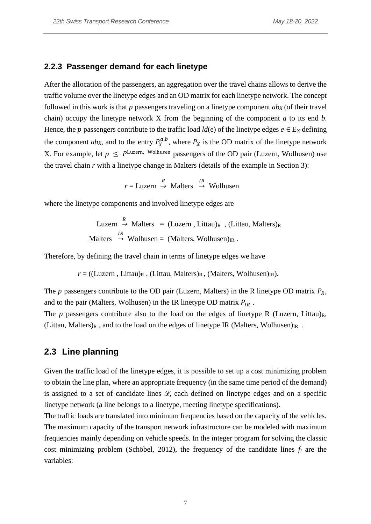#### **2.2.3 Passenger demand for each linetype**

After the allocation of the passengers, an aggregation over the travel chains allows to derive the traffic volume over the linetype edges and an OD matrix for each linetype network. The concept followed in this work is that  $p$  passengers traveling on a linetype component  $ab<sub>X</sub>$  (of their travel chain) occupy the linetype network X from the beginning of the component *a* to its end *b*. Hence, the *p* passengers contribute to the traffic load *ld*(e) of the linetype edges  $e \in E_X$  defining the component *ab*<sub>*X*</sub>, and to the entry  $P_X^{a,b}$ , where  $P_X$  is the OD matrix of the linetype network X. For example, let  $p \leq P^{\text{Luzern}}$ , Wolhusen passengers of the OD pair (Luzern, Wolhusen) use the travel chain *r* with a linetype change in Malters (details of the example in Section 3):

 $r =$ Luzern  $\rightarrow$  Malters  $\rightarrow$  Wolhusen

where the linetype components and involved linetype edges are

Luzern → Malters = (Luzern, Littau)<sub>R</sub>, (Littau, Malters)<sub>R</sub> Malters  $\stackrel{IR}{\rightarrow}$  Wolhusen = (Malters, Wolhusen)<sub>IR</sub>.

Therefore, by defining the travel chain in terms of linetype edges we have

 $r = ((Luzern, Littau)<sub>R</sub>, (Littau, Malters)<sub>R</sub>, (Malters, Wolhusen)<sub>IR</sub>).$ 

The p passengers contribute to the OD pair (Luzern, Malters) in the R linetype OD matrix  $P_R$ , and to the pair (Malters, Wolhusen) in the IR linetype OD matrix  $P_{IR}$ .

The  $p$  passengers contribute also to the load on the edges of linetype R (Luzern, Littau)<sub>R</sub>, (Littau, Malters)<sub>R</sub>, and to the load on the edges of linetype IR (Malters, Wolhusen)<sub>IR</sub>.

#### <span id="page-7-0"></span>**2.3 Line planning**

Given the traffic load of the linetype edges, it is possible to set up a cost minimizing problem to obtain the line plan, where an appropriate frequency (in the same time period of the demand) is assigned to a set of candidate lines  $\mathcal{L}$ , each defined on linetype edges and on a specific linetype network (a line belongs to a linetype, meeting linetype specifications).

The traffic loads are translated into minimum frequencies based on the capacity of the vehicles. The maximum capacity of the transport network infrastructure can be modeled with maximum frequencies mainly depending on vehicle speeds. In the integer program for solving the classic cost minimizing problem (Schöbel, 2012), the frequency of the candidate lines *f<sup>l</sup>* are the variables: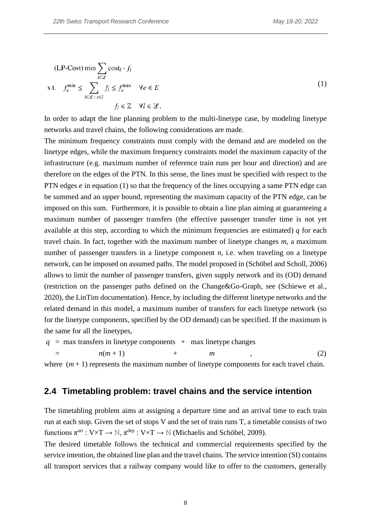$$
\begin{aligned} \n\text{(LP-Cost)} \min & \sum_{l \in \mathcal{L}} \text{cost}_l \cdot f_l \\ \n\text{s.t.} \quad f_e^{\min} &\leq \sum_{l \in \mathcal{L} : \, e \in l} f_l \leq f_e^{\max} \quad \forall e \in E \\ \n& f_l \in \mathcal{Z} \quad \forall l \in \mathcal{L}. \n\end{aligned} \tag{1}
$$

In order to adapt the line planning problem to the multi-linetype case, by modeling linetype networks and travel chains, the following considerations are made.

The minimum frequency constraints must comply with the demand and are modeled on the linetype edges, while the maximum frequency constraints model the maximum capacity of the infrastructure (e.g. maximum number of reference train runs per hour and direction) and are therefore on the edges of the PTN. In this sense, the lines must be specified with respect to the PTN edges  $e$  in equation (1) so that the frequency of the lines occupying a same PTN edge can be summed and an upper bound, representing the maximum capacity of the PTN edge, can be imposed on this sum. Furthermore, it is possible to obtain a line plan aiming at guaranteeing a maximum number of passenger transfers (the effective passenger transfer time is not yet available at this step, according to which the minimum frequencies are estimated) *q* for each travel chain. In fact, together with the maximum number of linetype changes *m*, a maximum number of passenger transfers in a linetype component *n*, i.e. when traveling on a linetype network, can be imposed on assumed paths. The model proposed in (Schöbel and Scholl, 2006) allows to limit the number of passenger transfers, given supply network and its (OD) demand (restriction on the passenger paths defined on the Change&Go-Graph, see (Schiewe et al., 2020), the LinTim documentation). Hence, by including the different linetype networks and the related demand in this model, a maximum number of transfers for each linetype network (so for the linetype components, specified by the OD demand) can be specified. If the maximum is the same for all the linetypes,

$$
q = \max \text{ transfers in linetype components } + \max \text{ linetype changes} = n(m+1) + m , \qquad (2)
$$

where  $(m+1)$  represents the maximum number of linetype components for each travel chain.

#### **2.4 Timetabling problem: travel chains and the service intention**

The timetabling problem aims at assigning a departure time and an arrival time to each train run at each stop. Given the set of stops V and the set of train runs T, a timetable consists of two functions  $\pi^{\text{arr}} : V \times T \to \mathbb{N}, \pi^{\text{dep}} : V \times T \to \mathbb{N}$  (Michaelis and Schöbel, 2009).

The desired timetable follows the technical and commercial requirements specified by the service intention, the obtained line plan and the travel chains. The service intention (SI) contains all transport services that a railway company would like to offer to the customers, generally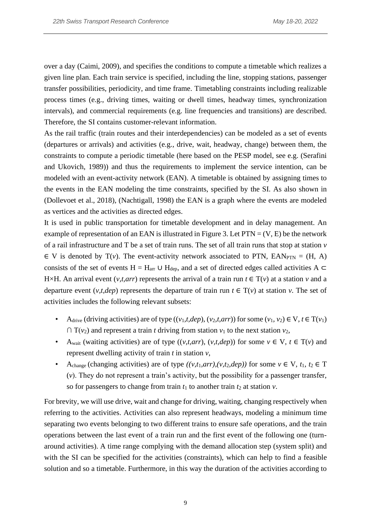over a day (Caimi, 2009), and specifies the conditions to compute a timetable which realizes a given line plan. Each train service is specified, including the line, stopping stations, passenger transfer possibilities, periodicity, and time frame. Timetabling constraints including realizable process times (e.g., driving times, waiting or dwell times, headway times, synchronization intervals), and commercial requirements (e.g. line frequencies and transitions) are described. Therefore, the SI contains customer-relevant information.

As the rail traffic (train routes and their interdependencies) can be modeled as a set of events (departures or arrivals) and activities (e.g., drive, wait, headway, change) between them, the constraints to compute a periodic timetable (here based on the PESP model, see e.g. (Serafini and Ukovich, 1989)) and thus the requirements to implement the service intention, can be modeled with an event-activity network (EAN). A timetable is obtained by assigning times to the events in the EAN modeling the time constraints, specified by the SI. As also shown in (Dollevoet et al., 2018), (Nachtigall, 1998) the EAN is a graph where the events are modeled as vertices and the activities as directed edges.

It is used in public transportation for timetable development and in delay management. An example of representation of an EAN is illustrated in Figure 3. Let  $PTN = (V, E)$  be the network of a rail infrastructure and T be a set of train runs. The set of all train runs that stop at station *v*  $\in$  V is denoted by T(*v*). The event-activity network associated to PTN, EAN<sub>PTN</sub> = (H, A) consists of the set of events H = H<sub>arr</sub> ∪ H<sub>dep</sub>, and a set of directed edges called activities A  $\subset$ H×H. An arrival event  $(v, t, arr)$  represents the arrival of a train run  $t \in T(v)$  at a station v and a departure event  $(v, t, dep)$  represents the departure of train run  $t \in T(v)$  at station *v*. The set of activities includes the following relevant subsets:

- A<sub>drive</sub> (driving activities) are of type  $((v_1, t, dep), (v_2, t, arr))$  for some  $(v_1, v_2) \in V, t \in T(v_1)$  $\cap$  T( $v_2$ ) and represent a train *t* driving from station  $v_1$  to the next station  $v_2$ ,
- A<sub>wait</sub> (waiting activities) are of type  $((v,t, arr), (v,t, dep))$  for some  $v \in V$ ,  $t \in T(v)$  and represent dwelling activity of train *t* in station *v*,
- A<sub>change</sub> (changing activities) are of type  $((v,t_1,arr),(v,t_2,dep))$  for some  $v \in V$ ,  $t_1, t_2 \in T$ (*v*). They do not represent a train's activity, but the possibility for a passenger transfer, so for passengers to change from train  $t_1$  to another train  $t_2$  at station  $v$ .

For brevity, we will use drive, wait and change for driving, waiting, changing respectively when referring to the activities. Activities can also represent headways, modeling a minimum time separating two events belonging to two different trains to ensure safe operations, and the train operations between the last event of a train run and the first event of the following one (turnaround activities). A time range complying with the demand allocation step (system split) and with the SI can be specified for the activities (constraints), which can help to find a feasible solution and so a timetable. Furthermore, in this way the duration of the activities according to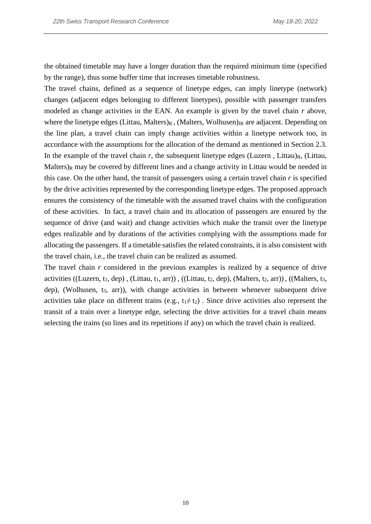the obtained timetable may have a longer duration than the required minimum time (specified by the range), thus some buffer time that increases timetable robustness.

The travel chains, defined as a sequence of linetype edges, can imply linetype (network) changes (adjacent edges belonging to different linetypes), possible with passenger transfers modeled as change activities in the EAN. An example is given by the travel chain *r* above, where the linetype edges (Littau, Malters)<sub>R</sub>, (Malters, Wolhusen)<sub>IR</sub> are adjacent. Depending on the line plan, a travel chain can imply change activities within a linetype network too, in accordance with the assumptions for the allocation of the demand as mentioned in Section [2.3.](#page-7-0) In the example of the travel chain  $r$ , the subsequent linetype edges (Luzern, Littau)<sub>R</sub>, (Littau, Malters)<sub>R</sub> may be covered by different lines and a change activity in Littau would be needed in this case. On the other hand, the transit of passengers using a certain travel chain *r* is specified by the drive activities represented by the corresponding linetype edges. The proposed approach ensures the consistency of the timetable with the assumed travel chains with the configuration of these activities. In fact, a travel chain and its allocation of passengers are ensured by the sequence of drive (and wait) and change activities which make the transit over the linetype edges realizable and by durations of the activities complying with the assumptions made for allocating the passengers. If a timetable satisfies the related constraints, it is also consistent with the travel chain, i.e., the travel chain can be realized as assumed.

The travel chain *r* considered in the previous examples is realized by a sequence of drive activities ((Luzern, t<sub>1</sub>, dep), (Littau, t<sub>1</sub>, arr)), ((Littau, t<sub>2</sub>, dep), (Malters, t<sub>2</sub>, arr)), ((Malters, t<sub>3</sub>, dep), (Wolhusen, t<sub>3</sub>, arr)), with change activities in between whenever subsequent drive activities take place on different trains (e.g.,  $t_1 \neq t_2$ ). Since drive activities also represent the transit of a train over a linetype edge, selecting the drive activities for a travel chain means selecting the trains (so lines and its repetitions if any) on which the travel chain is realized.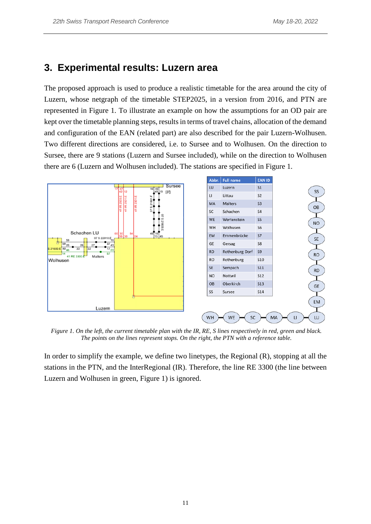### **3. Experimental results: Luzern area**

The proposed approach is used to produce a realistic timetable for the area around the city of Luzern, whose netgraph of the timetable STEP2025, in a version from 2016, and PTN are represented in Figure 1. To illustrate an example on how the assumptions for an OD pair are kept over the timetable planning steps, results in terms of travel chains, allocation of the demand and configuration of the EAN (related part) are also described for the pair Luzern-Wolhusen. Two different directions are considered, i.e. to Sursee and to Wolhusen. On the direction to Sursee, there are 9 stations (Luzern and Sursee included), while on the direction to Wolhusen there are 6 (Luzern and Wolhusen included). The stations are specified in Figure 1.



*Figure 1. On the left, the current timetable plan with the IR, RE, S lines respectively in red, green and black. The points on the lines represent stops. On the right, the PTN with a reference table.*

In order to simplify the example, we define two linetypes, the Regional (R), stopping at all the stations in the PTN, and the InterRegional (IR). Therefore, the line RE 3300 (the line between Luzern and Wolhusen in green, Figure 1) is ignored.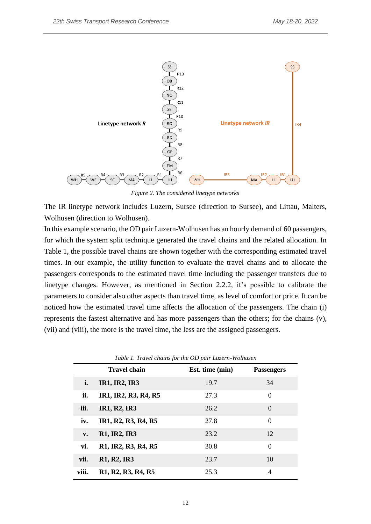

*Figure 2. The considered linetype networks*

The IR linetype network includes Luzern, Sursee (direction to Sursee), and Littau, Malters, Wolhusen (direction to Wolhusen).

In this example scenario, the OD pair Luzern-Wolhusen has an hourly demand of 60 passengers, for which the system split technique generated the travel chains and the related allocation. In Table 1, the possible travel chains are shown together with the corresponding estimated travel times. In our example, the utility function to evaluate the travel chains and to allocate the passengers corresponds to the estimated travel time including the passenger transfers due to linetype changes. However, as mentioned in Section 2.2.2, it's possible to calibrate the parameters to consider also other aspects than travel time, as level of comfort or price. It can be noticed how the estimated travel time affects the allocation of the passengers. The chain (i) represents the fastest alternative and has more passengers than the others; for the chains (v), (vii) and (viii), the more is the travel time, the less are the assigned passengers.

|               | <b>Travel chain</b>                               | Est. time (min) | <b>Passengers</b> |  |
|---------------|---------------------------------------------------|-----------------|-------------------|--|
| i.            | <b>IR1, IR2, IR3</b>                              | 19.7            | 34                |  |
| ii.           | IR1, IR2, R3, R4, R5                              | 27.3            | $\theta$          |  |
| iii.          | <b>IR1, R2, IR3</b>                               | 26.2            | $\theta$          |  |
| iv.           | IR1, R2, R3, R4, R5                               | 27.8            | $\theta$          |  |
| $V_{\bullet}$ | <b>R1, IR2, IR3</b>                               | 23.2            | 12                |  |
| vi.           | R1, IR2, R3, R4, R5                               | 30.8            | $\theta$          |  |
| vii.          | R <sub>1</sub> , R <sub>2</sub> , IR <sub>3</sub> | 23.7            | 10                |  |
| viii.         | R1, R2, R3, R4, R5                                | 25.3            | 4                 |  |

*Table 1. Travel chains for the OD pair Luzern-Wolhusen*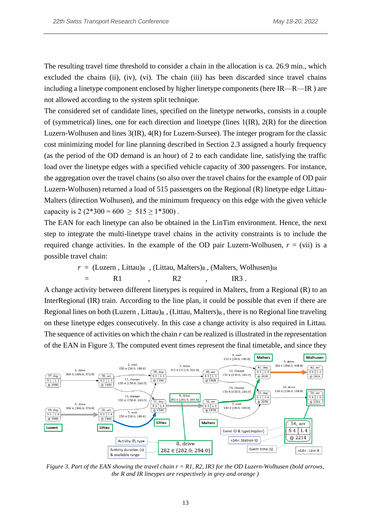The resulting travel time threshold to consider a chain in the allocation is ca. 26.9 min., which excluded the chains (ii), (iv), (vi). The chain (iii) has been discarded since travel chains including a linetype component enclosed by higher linetype components (here IR—R—IR ) are not allowed according to the system split technique.

The considered set of candidate lines, specified on the linetype networks, consists in a couple of (symmetrical) lines, one for each direction and linetype (lines  $1(R)$ ,  $2(R)$ ) for the direction Luzern-Wolhusen and lines 3(IR), 4(R) for Luzern-Sursee). The integer program for the classic cost minimizing model for line planning described in Section [2.3](#page-7-0) assigned a hourly frequency (as the period of the OD demand is an hour) of 2 to each candidate line, satisfying the traffic load over the linetype edges with a specified vehicle capacity of 300 passengers. For instance, the aggregation over the travel chains (so also over the travel chains for the example of OD pair Luzern-Wolhusen) returned a load of 515 passengers on the Regional (R) linetype edge Littau-Malters (direction Wolhusen), and the minimum frequency on this edge with the given vehicle capacity is  $2(2*300 = 600 \ge 515 \ge 1*300)$ .

The EAN for each linetype can also be obtained in the LinTim environment. Hence, the next step to integrate the multi-linetype travel chains in the activity constraints is to include the required change activities. In the example of the OD pair Luzern-Wolhusen,  $r = (vii)$  is a possible travel chain:

$$
r = (Luzern, Littau)R
$$
, (Littau, Malters)<sub>R</sub>, (Malters, Wolhusen)<sub>IR</sub>  
= R1, R2, IR3.

A change activity between different linetypes is required in Malters, from a Regional (R) to an InterRegional (IR) train. According to the line plan, it could be possible that even if there are Regional lines on both (Luzern, Littau) $R$ , (Littau, Malters) $R$ , there is no Regional line traveling on these linetype edges consecutively. In this case a change activity is also required in Littau. The sequence of activities on which the chain *r* can be realized is illustrated in the representation of the EAN in Figure 3. The computed event times represent the final timetable, and since they



*Figure 3. Part of the EAN showing the travel chain r = R1, R2, IR3 for the OD Luzern-Wolhusen (bold arrows, the R and IR lineypes are respectively in grey and orange )*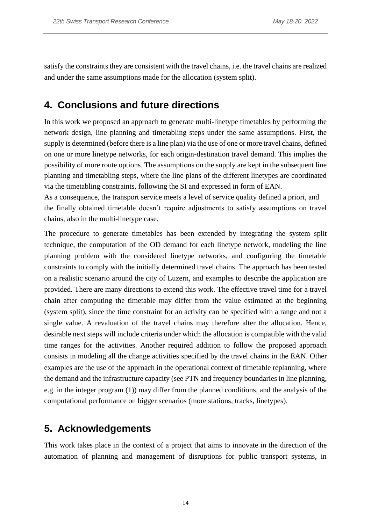satisfy the constraints they are consistent with the travel chains, i.e. the travel chains are realized and under the same assumptions made for the allocation (system split).

# **4. Conclusions and future directions**

In this work we proposed an approach to generate multi-linetype timetables by performing the network design, line planning and timetabling steps under the same assumptions. First, the supply is determined (before there is a line plan) via the use of one or more travel chains, defined on one or more linetype networks, for each origin-destination travel demand. This implies the possibility of more route options. The assumptions on the supply are kept in the subsequent line planning and timetabling steps, where the line plans of the different linetypes are coordinated via the timetabling constraints, following the SI and expressed in form of EAN.

As a consequence, the transport service meets a level of service quality defined a priori, and the finally obtained timetable doesn't require adjustments to satisfy assumptions on travel chains, also in the multi-linetype case.

The procedure to generate timetables has been extended by integrating the system split technique, the computation of the OD demand for each linetype network, modeling the line planning problem with the considered linetype networks, and configuring the timetable constraints to comply with the initially determined travel chains. The approach has been tested on a realistic scenario around the city of Luzern, and examples to describe the application are provided. There are many directions to extend this work. The effective travel time for a travel chain after computing the timetable may differ from the value estimated at the beginning (system split), since the time constraint for an activity can be specified with a range and not a single value. A revaluation of the travel chains may therefore alter the allocation. Hence, desirable next steps will include criteria under which the allocation is compatible with the valid time ranges for the activities. Another required addition to follow the proposed approach consists in modeling all the change activities specified by the travel chains in the EAN. Other examples are the use of the approach in the operational context of timetable replanning, where the demand and the infrastructure capacity (see PTN and frequency boundaries in line planning, e.g. in the integer program (1)) may differ from the planned conditions, and the analysis of the computational performance on bigger scenarios (more stations, tracks, linetypes).

# **5. Acknowledgements**

This work takes place in the context of a project that aims to innovate in the direction of the automation of planning and management of disruptions for public transport systems, in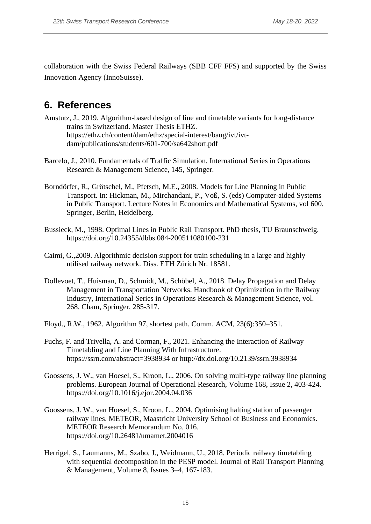collaboration with the Swiss Federal Railways (SBB CFF FFS) and supported by the Swiss Innovation Agency (InnoSuisse).

# **6. References**

- Amstutz, J., 2019. Algorithm-based design of line and timetable variants for long-distance trains in Switzerland. Master Thesis ETHZ. https://ethz.ch/content/dam/ethz/special-interest/baug/ivt/ivtdam/publications/students/601-700/sa642short.pdf
- Barcelo, J., 2010. Fundamentals of Traffic Simulation. International Series in Operations Research & Management Science, 145, Springer.
- Borndörfer, R., Grötschel, M., Pfetsch, M.E., 2008. Models for Line Planning in Public Transport. In: Hickman, M., Mirchandani, P., Voß, S. (eds) Computer-aided Systems in Public Transport. Lecture Notes in Economics and Mathematical Systems, vol 600. Springer, Berlin, Heidelberg.
- Bussieck, M., 1998. Optimal Lines in Public Rail Transport. PhD thesis, TU Braunschweig. https://doi.org/10.24355/dbbs.084-200511080100-231
- Caimi, G.,2009. Algorithmic decision support for train scheduling in a large and highly utilised railway network. Diss. ETH Zürich Nr. 18581.
- Dollevoet, T., Huisman, D., Schmidt, M., Schöbel, A., 2018. Delay Propagation and Delay Management in Transportation Networks. Handbook of Optimization in the Railway Industry, International Series in Operations Research & Management Science, vol. 268, Cham, Springer, 285-317.
- Floyd., R.W., 1962. Algorithm 97, shortest path. Comm. ACM, 23(6):350–351.
- Fuchs, F. and Trivella, A. and Corman, F., 2021. Enhancing the Interaction of Railway Timetabling and Line Planning With Infrastructure. https://ssrn.com/abstract=3938934 or http://dx.doi.org/10.2139/ssrn.3938934
- Goossens, J. W., van Hoesel, S., Kroon, L., 2006. On solving multi-type railway line planning problems. European Journal of Operational Research, Volume 168, Issue 2, 403-424. https://doi.org/10.1016/j.ejor.2004.04.036
- Goossens, J. W., van Hoesel, S., Kroon, L., 2004. Optimising halting station of passenger railway lines. METEOR, Maastricht University School of Business and Economics. METEOR Research Memorandum No. 016. https://doi.org/10.26481/umamet.2004016
- Herrigel, S., Laumanns, M., Szabo, J., Weidmann, U., 2018. Periodic railway timetabling with sequential decomposition in the PESP model. Journal of Rail Transport Planning & Management, Volume 8, Issues 3–4, 167-183.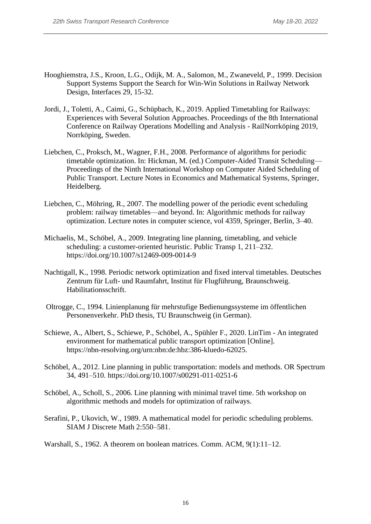- Hooghiemstra, J.S., Kroon, L.G., Odijk, M. A., Salomon, M., Zwaneveld, P., 1999. Decision Support Systems Support the Search for Win-Win Solutions in Railway Network Design, Interfaces 29, 15-32.
- Jordi, J., Toletti, A., Caimi, G., Schüpbach, K., 2019. Applied Timetabling for Railways: Experiences with Several Solution Approaches. Proceedings of the 8th International Conference on Railway Operations Modelling and Analysis - RailNorrköping 2019, Norrköping, Sweden.
- Liebchen, C., Proksch, M., Wagner, F.H., 2008. Performance of algorithms for periodic timetable optimization. In: Hickman, M. (ed.) Computer-Aided Transit Scheduling— Proceedings of the Ninth International Workshop on Computer Aided Scheduling of Public Transport. Lecture Notes in Economics and Mathematical Systems, Springer, Heidelberg.
- Liebchen, C., Möhring, R., 2007. The modelling power of the periodic event scheduling problem: railway timetables—and beyond. In: Algorithmic methods for railway optimization. Lecture notes in computer science, vol 4359, Springer, Berlin, 3–40.
- Michaelis, M., Schöbel, A., 2009. Integrating line planning, timetabling, and vehicle scheduling: a customer-oriented heuristic. Public Transp 1, 211–232. https://doi.org/10.1007/s12469-009-0014-9
- Nachtigall, K., 1998. Periodic network optimization and fixed interval timetables. Deutsches Zentrum für Luft- und Raumfahrt, Institut für Flugführung, Braunschweig. Habilitationsschrift.
- Oltrogge, C., 1994. Linienplanung für mehrstufige Bedienungssysteme im öffentlichen Personenverkehr. PhD thesis, TU Braunschweig (in German).
- Schiewe, A., Albert, S., Schiewe, P., Schöbel, A., Spühler F., 2020. LinTim An integrated environment for mathematical public transport optimization [Online]. https://nbn-resolving.org/urn:nbn:de:hbz:386-kluedo-62025.
- Schöbel, A., 2012. Line planning in public transportation: models and methods. OR Spectrum 34, 491–510. https://doi.org/10.1007/s00291-011-0251-6
- Schöbel, A., Scholl, S., 2006. Line planning with minimal travel time. 5th workshop on algorithmic methods and models for optimization of railways.
- Serafini, P., Ukovich, W., 1989. A mathematical model for periodic scheduling problems. SIAM J Discrete Math 2:550–581.
- Warshall, S., 1962. A theorem on boolean matrices. Comm. ACM, 9(1):11–12.